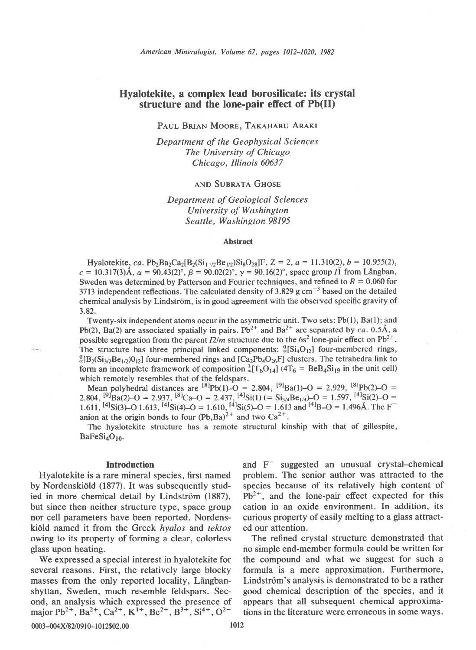# Hyalotekite, a complex lead borosilicate: its crystal structure and the lone-pair effect of Pb(II)

PAUL BRIAN MOORE, TAKAHARU ARAKI

Department of the Geophysical Sciences The University of Chicago Chicago, Illinois 60637

## **AND SUBRATA GHOSE**

# Department of Geological Sciences University of Washington Seattle, Washington 98195

## Abstract

Hyalotekite, ca. Pb<sub>2</sub>Ba<sub>2</sub>Ca<sub>2</sub>[B<sub>2</sub>(Si<sub>11/2</sub>Be<sub>1/2</sub>)Si<sub>8</sub>O<sub>28</sub>]F, Z = 2, a = 11.310(2), b = 10.955(2),  $c = 10.317(3)$ Å,  $\alpha = 90.43(2)$ °,  $\beta = 90.02(2)$ °,  $\gamma = 90.16(2)$ °, space group II from Långban, Sweden was determined by Patterson and Fourier techniques, and refined to  $R = 0.060$  for 3713 independent reflections. The calculated density of 3.829 g  $cm^{-3}$  based on the detailed chemical analysis by Lindström, is in good agreement with the observed specific gravity of 3.82.

Twenty-six independent atoms occur in the asymmetric unit. Two sets: Pb(l), Ba(l); and Pb(2), Ba(2) are associated spatially in pairs. Pb<sup>2+</sup> and Ba<sup>2+</sup> are separated by ca. 0.5Å, a possible segregation from the parent  $I2/m$  structure due to the 6s<sup>2</sup> lone-pair effect on Pb<sup>2+</sup>. The structure has three principal linked components:  $\frac{0}{2}[Si_4O_{12}]$  four-membered rings,  $^{0}_{2}$ [B<sub>2</sub>(Si<sub>3/2</sub>Be<sub>1/2</sub>)0<sub>12</sub>] four-membered rings and [Ca<sub>2</sub>Pb<sub>4</sub>O<sub>26</sub>F] clusters. The tetrahedra link to form an incomplete framework of composition  ${}_{2}^{3}[T_{6}O_{14}]$  (4T<sub>6</sub> = BeB<sub>4</sub>Si<sub>19</sub> in the unit cell) which remotely resembles that of the feldspars.

which remotely resembles that of the feldspars.<br>Mean polyhedral distances are  $^{[8]}Pb(1)-O = 2.804$ ,  $^{[9]}Ba(1)-O = 2.929$ ,  $^{[8]}Pb(2)-O =$ 2.804,  ${}^{[9]}Ba(2)-O = 2.937$ ,  ${}^{[8]}Ca-O = 2.437$ ,  ${}^{[4]}Si(1) (= Si_{3/4}Be_{1/4})-O = 1.597$ ,  ${}^{[4]}Si(2)-O = 1.597$ 1.611, <sup>[4]</sup>Si(3)-O 1.613, <sup>[4]</sup>Si(4)-O = 1.610, <sup>[4]</sup>Si(5)-O = 1.613 and <sup>[4]</sup>B-O = 1.496Å. The F<sup>-</sup> anion at the origin bonds to four  $(Pb, Ba)^{2+}$  and two  $Ca^{2+}$ .

The hyalotekite structure has a remote structural kinship with that of gillespite,  $BaFeSi<sub>4</sub>O<sub>10</sub>$ .

### Introduction

Hyalotekite is a rare mineral species, first named by Nordenskiold (1877). It was subsequently studied in more chemical detail by Lindström (1887), but since then neither structure type, space group nor cell parameters have been reported. Nordenskiöld named it from the Greek hyalos and tektos owing to its property of forming a clear, colorless glass upon heating.

We expressed a special interest in hyalotekite for several reasons. First, the relatively large blocky masses from the only reported locality, Långbanshyttan, Sweden, much resemble feldspars. Second, an analysis which expressed the presence of major  $Pb^{2+}$ , Ba<sup>2+</sup>, Ca<sup>2+</sup>, K<sup>1+</sup>, Be<sup>2+</sup>, B<sup>3+</sup>, Si<sup>4+</sup>, O<sup>2-</sup>

and F<sup>-</sup> suggested an unusual crystal-chemical problem. The senior author was attracted to the species because of its relatively high content of  $Pb^{2+}$ , and the lone-pair effect expected for this cation in an oxide environment. In addition, its curious property of easily melting to a glass attracted our attention.

The refined crystal structure demonstrated that no simple end-member formula could be written for the compound and what we suggest for such a formula is a mere approximation. Furthermore, Lindström's analysis is demonstrated to be a rather good chemical description of the species, and it appears that all subsequent chemical approximations in the literature were erroneous in some ways.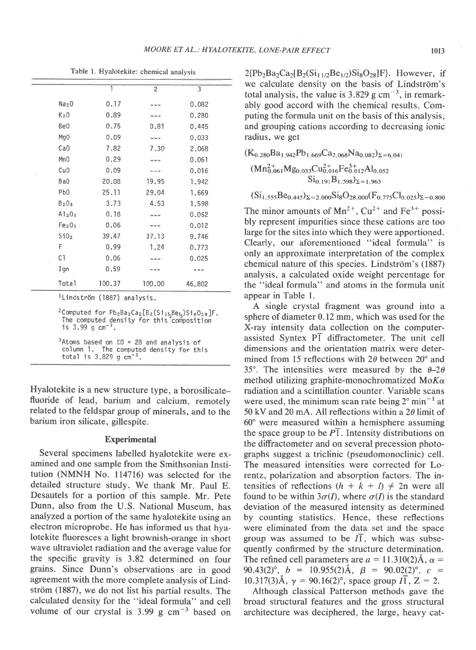|                                | 1      | $\overline{c}$ | 3      |
|--------------------------------|--------|----------------|--------|
| Na <sub>2</sub> O              | 0.17   |                | 0.082  |
| K <sub>2</sub> 0               | 0.89   |                | 0.280  |
| Be0                            | 0.75   | 0.81           | 0.445  |
| Mg <sub>0</sub>                | 0.09   | ---            | 0.033  |
| CaO                            | 7.82   | 7.30           | 2.068  |
| Mn0                            | 0.29   |                | 0.061  |
| Cu0                            | 0.09   |                | 0.016  |
| Ba0                            | 20.08  | 19.95          | 1.942  |
| Pb <sub>0</sub>                | 25.11  | 29.04          | 1.669  |
| B <sub>2</sub> 0 <sub>3</sub>  | 3.73   | 4.53           | 1.598  |
| A1203                          | 0.18   |                | 0.052  |
| Fe <sub>2</sub> O <sub>3</sub> | 0,06   |                | 0.012  |
| SiO <sub>2</sub>               | 39.47  | 37.13          | 9.746  |
| F                              | 0.99   | 1.24           | 0.773  |
| C1                             | 0.06   |                | 0.025  |
| Ign                            | 0.59   |                |        |
| Total                          | 100.37 | 100.00         | 46.802 |

Table l. Hyalotekite: chemical analysis

<sup>1</sup>Lindström (1887) analysis.

 $2$ Computed for  $Pb_2Ba_2Ca_2[B_2(Si_{11}Be_{12})Si_8O_{2.8}]F.$ The computed density for this composition<br>is 3.99 g cm<sup>-3</sup>.

 $3$ Atoms based on  $\Sigma$ 0 = 28 and analysis of column 1. The computed density for this<br>total is 3.829 g cm<sup>-3</sup>.

Hyalotekite is a new structure type, a borosilicatefluoride of lead, barium and calcium, remotely related to the feldspar group of minerals, and to the barium iron silicate, gillespite.

## Experimental

Several specimens labelled hyalotekite were examined and one sample from the Smithsonian Institution (NMNH No. 114716) was selected for the detailed structure study. We thank Mr. Paul E. Desautels for a portion of this sample. Mr. Pete Dunn, also from the U.S. National Museum, has analyzed a portion of the same hyalotekite using an electron microprobe. He has informed us that hyalotekite fluoresces a light brownish-orange in short wave ultraviolet radiation and the average value for the specific gravity is 3.82 determined on four grains. Since Dunn's observations are in good agreement with the more complete analysis of Lindström (1887), we do not list his partial results. The calculated density for the "ideal formula" and cell volume of our crystal is  $3.99 \text{ g cm}^{-3}$  based on

 $2{Pb_2Ba_2Ca_2[B_2(Si_{11/2}Be_{1/2})Si_8O_{28}]F}$ . However, if we calculate density on the basis of Lindström's total analysis, the value is 3.829 g cm<sup> $-3$ </sup>, in remarkably good accord with the chemical results. Computing the formula unit on the basis of this analysis, and grouping cations according to decreasing ionic radius, we get

 $(K_{0.280}Ba_{1.942}Pb_{1.669}Ca_{2.068}Na_{0.082})_{\Sigma=6.041}$  $(Mn_{0.061}^{2+}Mg_{0.033}Cu_{0.016}^{2+}Fe_{0.012}^{3+}Al_{0.052})$  $Si_{0.191}B_{1.598}$  $\Sigma = 1.963$ 

 $(Si_{1,555}Be_{0,445})_{\Sigma=2.000}Si_8O_{28,000}(F_{0,775}Cl_{0,025})_{\Sigma=0.800}$ 

The minor amounts of  $Mn^{2+}$ ,  $Cu^{2+}$  and  $Fe^{3+}$  possibly represent impurities since these cations are too large for the sites into which they were apportioned. Clearly, our aforementioned "ideal formula" is only an approximate interpretation of the complex chemical nature of this species. Lindström's (1887) analysis, a calculated oxide weight percentage for the "ideal formula" and atoms in the formula unit appear in Table 1.

A single crystal fragment was ground into a sphere of diameter 0.12 mm, which was used for the X-ray intensity data collection on the computerassisted Syntex PI diffractometer. The unit cell dimensions and the orientation matrix were determined from 15 reflections with  $2\theta$  between  $20^{\circ}$  and 35°. The intensities were measured by the  $\theta$ -2 $\theta$ method utilizing graphite-monochromatized  $M \circ K \alpha$ radiation and a scintillation counter. Variable scans were used, the minimum scan rate being  $2^{\circ}$  min<sup>-1</sup> at 50 kV and 20 mA. All reflections within a  $2\theta$  limit of  $60^\circ$  were measured within a hemisphere assuming the space group to be  $P1$ . Intensity distributions on the diffractometer and on several precession photographs suggest a triclinic (pseudomonoclinic) cell. The measured intensities were corrected for Lorentz, polarization and absorption factors. The intensities of reflections  $(h + k + l) \neq 2n$  were all found to be within  $3\sigma(I)$ , where  $\sigma(I)$  is the standard deviation of the measured intensity as determined by counting statistics. Hence, these reflections were eliminated from the data set and the space group was assumed to be  $I1$ , which was subsequently confirmed by the structure determination. The refined cell parameters are  $a = 11.310(2)$ Å,  $\alpha =$ 90.43(2)°,  $b = 10.955(2)$ Å,  $\beta = 90.02(2)$ °,  $c =$ 10.317(3)Å,  $\gamma = 90.16(2)^\circ$ , space group  $I\overline{1}$ ,  $Z = 2$ .

Although classical Patterson methods gave the broad structural features and the gross structural architecture was deciphered, the large, heavy cat-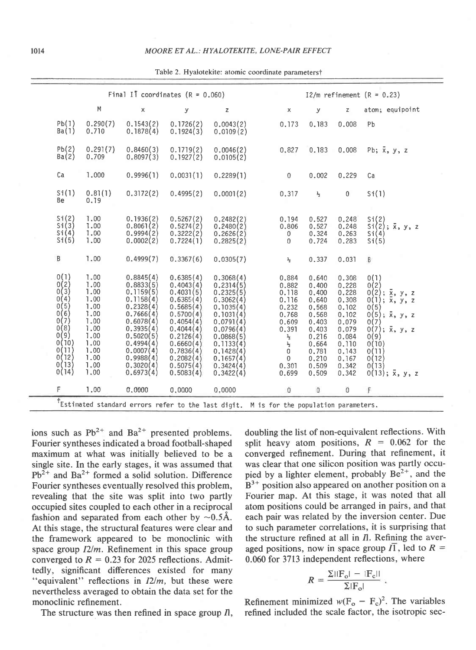|                                                                                                                     |                                                                                                              | Final II coordinates $(R = 0.060)$                                                                                                                                                 |                                                                                                                                                                                    | $I2/m$ refinement $(R = 0.23)$                                                                                                                                                     |                                                                                                                                                 |                                                                                                                            |                                                                                                                            |                                                                                                                                                                                                                  |  |
|---------------------------------------------------------------------------------------------------------------------|--------------------------------------------------------------------------------------------------------------|------------------------------------------------------------------------------------------------------------------------------------------------------------------------------------|------------------------------------------------------------------------------------------------------------------------------------------------------------------------------------|------------------------------------------------------------------------------------------------------------------------------------------------------------------------------------|-------------------------------------------------------------------------------------------------------------------------------------------------|----------------------------------------------------------------------------------------------------------------------------|----------------------------------------------------------------------------------------------------------------------------|------------------------------------------------------------------------------------------------------------------------------------------------------------------------------------------------------------------|--|
|                                                                                                                     | M                                                                                                            | $\pmb{\times}$                                                                                                                                                                     | y                                                                                                                                                                                  | $\mathsf z$                                                                                                                                                                        | X                                                                                                                                               | у                                                                                                                          | $\mathsf{z}$                                                                                                               | atom: equipoint                                                                                                                                                                                                  |  |
| Pb(1)<br>Ba(1)                                                                                                      | 0.290(7)<br>0.710                                                                                            | 0.1543(2)<br>0.1878(4)                                                                                                                                                             | 0.1726(2)<br>0.1924(3)                                                                                                                                                             | 0.0043(2)<br>0.0109(2)                                                                                                                                                             | 0.173                                                                                                                                           | 0.183                                                                                                                      | 0.008                                                                                                                      | Pb                                                                                                                                                                                                               |  |
| Pb(2)<br>Ba(2)                                                                                                      | 0, 291(7)<br>0.709                                                                                           | 0.8460(3)<br>0,8097(3)                                                                                                                                                             | 0.1719(2)<br>0.1927(2)                                                                                                                                                             | 0.0046(2)<br>0.0105(2)                                                                                                                                                             | 0,827                                                                                                                                           | 0.183                                                                                                                      | 0,008                                                                                                                      | Pb; $\bar{x}$ , $y$ , $z$                                                                                                                                                                                        |  |
| Ca                                                                                                                  | 1,000                                                                                                        | 0.9996(1)                                                                                                                                                                          | 0,0031(1)                                                                                                                                                                          | 0.2289(1)                                                                                                                                                                          | $\overline{0}$                                                                                                                                  | 0.002                                                                                                                      | 0.229                                                                                                                      | Ca                                                                                                                                                                                                               |  |
| Si(1)<br>Be                                                                                                         | 0.81(1)<br>0.19                                                                                              | 0.3172(2)                                                                                                                                                                          | 0.4995(2)                                                                                                                                                                          | 0,0001(2)                                                                                                                                                                          | 0.317                                                                                                                                           | $\frac{1}{2}$                                                                                                              | $\mathbf{0}$                                                                                                               | Si(1)                                                                                                                                                                                                            |  |
| Si(2)<br>Si(3)<br>Si(4)<br>Si(5)                                                                                    | 1.00<br>1.00<br>1,00<br>1.00                                                                                 | 0.1936(2)<br>0,8061(2)<br>0.9994(2)<br>0.0002(2)                                                                                                                                   | 0.5267(2)<br>0.5274(2)<br>0.3222(2)<br>0.7224(1)                                                                                                                                   | 0.2482(2)<br>0.2480(2)<br>0.2626(2)<br>0.2825(2)                                                                                                                                   | 0.194<br>0.806<br>0<br>$\mathbf 0$                                                                                                              | 0.527<br>0.527<br>0.324<br>0.724                                                                                           | 0.248<br>0.248<br>0,263<br>0.283                                                                                           | $Si(2)$<br>$Si(2)$ ; $\bar{x}$ , $y$ , z<br>Si(4)<br>Si(5)                                                                                                                                                       |  |
| $\, {\bf B}$                                                                                                        | 1.00                                                                                                         | 0.4999(7)                                                                                                                                                                          | 0.3367(6)                                                                                                                                                                          | 0.0305(7)                                                                                                                                                                          | $\frac{1}{2}$                                                                                                                                   | 0.337                                                                                                                      | 0.031                                                                                                                      | B                                                                                                                                                                                                                |  |
| 0(1)<br>$0(2)$<br>0(3)<br>0(4)<br>0(6)<br>0(6)<br>0(7)<br>0(8)<br>0(9)<br>0(10)<br>0(11)<br>0(12)<br>0(13)<br>0(14) | 1.00<br>1,00<br>1.00<br>1.00<br>1.00<br>1.00<br>1.00<br>1.00<br>1.00<br>1.00<br>1,00<br>1.00<br>1,00<br>1,00 | 0.8845(4)<br>0.8833(5)<br>0.1159(5)<br>0.1158(4)<br>0.2328(4)<br>0.7666(4)<br>0.6078(4)<br>0.3935(4)<br>0.5020(5)<br>0.4994(4)<br>0.0007(4)<br>0.9988(4)<br>0.3020(4)<br>0.6973(4) | 0.6385(4)<br>0.4043(4)<br>0.4031(5)<br>0.6385(4)<br>0.5685(4)<br>0.5700(4)<br>0.4054(4)<br>0.4044(4)<br>0.2126(4)<br>0.6660(4)<br>0.7836(4)<br>0,2082(4)<br>0.5075(4)<br>0.5083(4) | 0.3068(4)<br>0,2314(5)<br>0.2325(5)<br>0.3062(4)<br>0.1035(4)<br>0.1031(4)<br>0.0791(4)<br>0.0796(4)<br>0.0868(5)<br>0.1133(4)<br>0.1428(4)<br>0.1657(4)<br>0.3424(4)<br>0.3422(4) | 0.884<br>0.882<br>0.118<br>0.116<br>0.232<br>0,768<br>0.609<br>0.391<br>$\frac{3}{2}$<br>$\frac{1}{2}$<br>0<br>$\overline{0}$<br>0.301<br>0.699 | 0.640<br>0.400<br>0,400<br>0,640<br>0,568<br>0,568<br>0.403<br>0.403<br>0.216<br>0,664<br>0.781<br>0.210<br>0.509<br>0.509 | 0.308<br>0,228<br>0.228<br>0.308<br>0.102<br>0.102<br>0.079<br>0,079<br>0.084<br>0.110<br>0.143<br>0,167<br>0.342<br>0.342 | 0(1)<br>0(2)<br>$0(2); \overline{x}, y, z$<br>$0(1); \overline{x}, y, z$<br>0(5)<br>$0(5); \bar{x}, y, z$<br>0(7)<br>$0(7); \bar{x}, y, z$<br>0(9)<br>0(10)<br>0(11)<br>0(12)<br>0(13)<br>$0(13); \bar{x}, y, z$ |  |
| F                                                                                                                   | 1.00                                                                                                         | 0.0000                                                                                                                                                                             | 0.0000                                                                                                                                                                             | 0.0000                                                                                                                                                                             | $\circ$                                                                                                                                         | $\mathsf{O}$                                                                                                               | $\circ$                                                                                                                    | F                                                                                                                                                                                                                |  |
|                                                                                                                     |                                                                                                              |                                                                                                                                                                                    |                                                                                                                                                                                    | <sup>+</sup> Estimated standard errors refer to the last digit. M is for the population parameters.                                                                                |                                                                                                                                                 |                                                                                                                            |                                                                                                                            |                                                                                                                                                                                                                  |  |
|                                                                                                                     |                                                                                                              |                                                                                                                                                                                    |                                                                                                                                                                                    |                                                                                                                                                                                    |                                                                                                                                                 |                                                                                                                            |                                                                                                                            |                                                                                                                                                                                                                  |  |

Table 2. Hyalotekite: atomic coordinate parameterst

ions such as  $Pb^{2+}$  and  $Ba^{2+}$  presented problems. Fourier syntheses indicated a broad football-shaped maximum at what was initially believed to be a single site. In the early stages, it was assumed that  $Pb^{2+}$  and Ba<sup>2+</sup> formed a solid solution. Difference Fourier syntheses eventually resolved this problem, revealing that the site was split into two partly occupied sites coupled to each other in a reciprocal fashion and separated from each other by  $\sim 0.5$ Å. At this stage, the structural features were clear and the framework appeared to be monoclinic with space group  $I2/m$ . Refinement in this space group converged to  $R = 0.23$  for 2025 reflections. Admittedly, significant differences existed for many "equivalent" reflections in  $I2/m$ , but these were nevertheless averaged to obtain the data set for the monoclinic refinement.

The structure was then refined in space group  $\Pi$ ,

doubling the list of non-equivalent reflections. With split heavy atom positions,  $R = 0.062$  for the converged refinement. During that refinement, it was clear that one silicon position was partly occupied by a lighter element, probably  $Be^{2+}$ , and the  $B<sup>3+</sup>$  position also appeared on another position on a Fourier map. At this stage, it was noted that all atom positions could be arranged in pairs, and that each pair was related by the inversion center. Due to such parameter correlations, it is surprising that the structure refined at all in  $\Pi$ . Refining the averaged positions, now in space group  $\overline{11}$ , led to  $R =$ 0.060 for 3713 independent reflections, where

$$
R = \frac{\Sigma ||\mathbf{F}_o| - |\mathbf{F}_c||}{\Sigma |\mathbf{F}_o|}.
$$

Refinement minimized  $w(F_o - F_c)^2$ . The variables refined included the scale factor, the isotropic sec-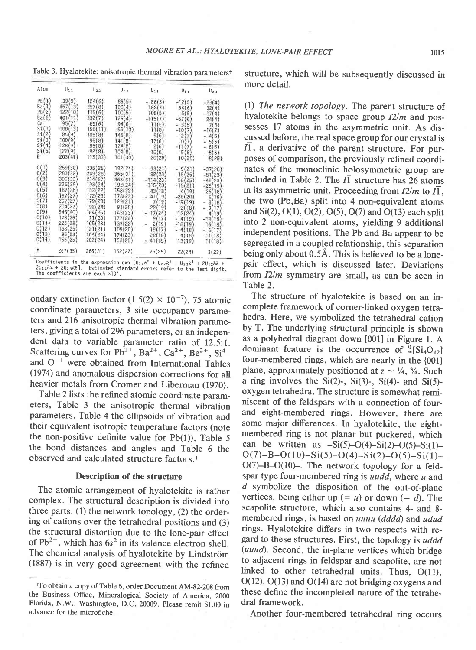Table 3. Hyalotekite: anisotropic thermal vibration parameterst

| Atom                                                                                                                                             | $U_{11}$                                                                                                                                               | $U_{22}$                                                                                                                                                                    | $U_{33}$                                                                                                                                                                 | $U_{12}$                                                                                                                                            | $U_{13}$                                                                                                                                                                    | $U_{23}$                                                                                                                                                                 |
|--------------------------------------------------------------------------------------------------------------------------------------------------|--------------------------------------------------------------------------------------------------------------------------------------------------------|-----------------------------------------------------------------------------------------------------------------------------------------------------------------------------|--------------------------------------------------------------------------------------------------------------------------------------------------------------------------|-----------------------------------------------------------------------------------------------------------------------------------------------------|-----------------------------------------------------------------------------------------------------------------------------------------------------------------------------|--------------------------------------------------------------------------------------------------------------------------------------------------------------------------|
| Pb(1)<br>Ba(1)<br>Pb(2)<br>Ba(2)<br>Ca<br>Sł<br>St(2)<br>(3)<br>Sf<br>Sf(4)<br>51(5)<br>R                                                        | 39(9)<br>467<br>(13)<br>122(<br>10<br>401<br>956<br>7<br>100<br>13)<br>85<br>9<br>1000<br>$\mathbf{Q}$<br>128(9)<br>122(9)<br>203(41)                  | 124(6)<br>257<br>$^{(8)}$<br>115 (6<br>232<br>$\overline{7}$<br>690<br>6<br>156<br>11)<br>108<br>$\mathbf{a}$<br>98(8)<br>B6(8)<br>82(8)<br>115(33)                         | 89(5)<br>123(<br>4<br>100(5)<br>129(4)<br>94(6)<br>99(10)<br>145(R<br>1410<br>8<br>124(B)<br>104(8)<br>101(30)                                                           | 86(5)<br>182<br>108(5<br>$-116($<br>11<br>(5)<br>8<br>Б<br>9<br>17<br>6<br>2<br>6)<br>10(6)<br>20(28)                                               | $-12(5)$<br>54(6)<br>5<br>61<br>$-67($<br>6<br>5<br>31<br>$-10$<br>7<br>$\overline{c}$<br>7<br>n<br>$-110$<br>7<br>5(6)<br>10(28)                                           | $-23(4)$<br>32(4)<br>$-1714$<br>24(4)<br>7<br>Δ<br>$-16$<br>6<br>Δ<br>5<br>(6<br>6(6)<br>5(6)<br>8(25)                                                                   |
| 0<br>$\mathbf{2}$<br>Ωí<br>0<br>3<br>A<br>O.<br>5<br>6<br>Ω<br>7<br>ū<br>8)<br>0<br>9)<br>0<br>0<br>10<br>Ò<br>Ħ<br>12<br>0<br>13<br>O)<br>0(14) | 259(30)<br>283(32)<br>309(33)<br>236(29)<br>187(26)<br>197 (27)<br>207(27)<br>204(27<br>546 (40)<br>178(25)<br>226(28)<br>168(25)<br>95(23)<br>156(25) | 205(<br>25'<br>249 (28)<br>214(27<br>193(<br>24<br>152<br>22<br>172<br>23<br>1796<br>23<br>192(<br>(24)<br>164 (25)<br>71<br>20<br>165(23)<br>121(21)<br>204(24)<br>202(24) | 192<br>24<br>365(<br>31<br>363(<br>31<br>192(24<br>1586<br>22<br>178(23)<br>120(21)<br>91<br>20<br>143<br>23<br>22<br>177<br>133<br>22<br>109 (20)<br>174(23)<br>153(22) | 93<br>23<br>981<br>23<br>14<br>115(20<br>43<br>18<br>41<br>19<br>19<br>7<br>22<br>19<br>17<br>24<br>9<br>17<br>2<br>19<br>19(17<br>28(18)<br>41(19) | 9<br>$-15($<br>25<br>58(25)<br>$-15($<br>21<br>19<br>$-280$<br>20<br>90<br>19.<br>18<br>2<br>$-12$<br>24<br>41<br>19<br>$-18(19)$<br>$\Lambda$<br>18<br>18<br>4 (<br>13(19) | 20<br>$-37$<br>23<br>$-81$<br>$-42$<br>23<br>$-25$<br>19<br>26(18<br>86<br>19<br>8(<br>18<br>9<br>17<br>19<br>Δ<br>16<br>$-14($<br>16(18)<br>17<br>6<br>11(18)<br>11(18) |
| F                                                                                                                                                | 267(35)                                                                                                                                                | 266(31)                                                                                                                                                                     | 152(27)                                                                                                                                                                  | 26(25)                                                                                                                                              | 22(24)                                                                                                                                                                      | 3(23)                                                                                                                                                                    |

ondary extinction factor  $(1.5(2) \times 10^{-7})$ , 75 atomic coordinate parameters, 3 site occupancy parameters and 216 anisotropic thermal vibration parameters, giving a total of 296 parameters, or an independent data to variable parameter ratio of 12.5:1. Scattering curves for  $Pb^{2+}$ ,  $Ba^{2+}$ ,  $Ca^{2+}$ ,  $Be^{2+}$ ,  $Si^{4+}$ and  $O^{-1}$  were obtained from International Tables (1974) and anomalous dispersion corrections for all heavier metals from Cromer and Liberman (1970).

Table 2 lists the refined atomic coordinate parameters, Table 3 the anisotropic thermal vibration parameters, Table 4 the ellipsoids of vibration and their equivalent isotropic temperature factors (note the non-positive definite value for  $Pb(1)$ ), Table 5 the bond distances and angles and Table 6 the observed and calculated structure factors.<sup>1</sup>

## Description of the structure

The atomic arrangement of hyalotekite is rather complex. The structural description is divided into three parts: (1) the network topology, (2) the ordering of cations over the tetrahedral positions and (3) the structural distortion due to the lone-pair effect of  $Pb^{2+}$ , which has  $6s^2$  in its valence electron shell. The chemical analysis of hyalotekite by Lindström (1887) is in very good agreement with the refined structure, which will be subsequently discussed in more detail.

(l) The network topology. The parent structure of hyalotekite belongs to space group  $I2/m$  and possesses 17 atoms in the asymmetric unit. As discussed before, the real space group for our crystal is 11, a derivative of the parent structure. For purposes of comparison, the previously refined coordinates of the monoclinic holosymmetric group are included in Table 2. The  $\overline{I}$  structure has 26 atoms in its asymmetric unit. Proceeding from  $I2/m$  to  $I\overline{1}$ , the two (Pb,Ba) split into 4 non-equivalent atoms and  $Si(2)$ ,  $O(1)$ ,  $O(2)$ ,  $O(5)$ ,  $O(7)$  and  $O(13)$  each split into 2 non-equivalent atoms, yielding 9 additional independent positions. The Pb and Ba appear to be segregated in a coupled relationship, this separation being only about 0.5A. This is believed to be a lonepair effect, which is discussed later. Deviations from  $I2/m$  symmetry are small, as can be seen in Table 2.

The structure of hyalotekite is based on an incomplete framework of corner-linked oxygen tetrahedra. Here, we symbolized the tetrahedral cation by T. The underlying structural principle is shown as a polyhedral diagram down [001] in Figure l. A dominant feature is the occurrence of  $\frac{0}{2}$ [Si<sub>4</sub>O<sub>12</sub>] four-membered rings, which are nearly in the {001} plane, approximately positioned at  $z \sim \frac{1}{4}$ ,  $\frac{3}{4}$ . Such a ring involves the Si(2)-, Si(3)-, Si(4)- and Si(5)oxygen tetrahedra. The structure is somewhat reminiscent of the feldspars with a connection of fourand eight-membered rings. However, there are some major differences. In hyalotekite, the eightmembered ring is not planar but puckered, which can be written as  $-Si(5)-O(4)-Si(2)-O(5)-Si(1)$  $O(7) - B - O(10) - Si(5) - O(4) - Si(2) - O(5) - Si(1) O(7)$ -B- $O(10)$ -. The network topology for a feldspar type four-membered ring is *uudd*, where  $\mu$  and d symbolize the disposition of the out-of-plane vertices, being either up  $(= u)$  or down  $(= d)$ . The scapolite structure, which also contains 4- and 8 membered rings, is based on uuuu (dddd) and udud rings. Hyalotekite differs in two respects with regard to these structures. First, the topology is *uddd*  $(uuud)$ . Second, the in-plane vertices which bridge to adjacent rings in feldspar and scapolite, are not linked to other tetrahedral units. Thus, O(11), O(12), O(13) and O(14) are not bridging oxygens and these define the incompleted nature of the tetrahedral framework.

Another four-membered tetrahedral ring occurs

<sup>&#</sup>x27;To obtain a copy of Table 6, order Document AM-82-20g from the Business Office, Mineralogical Society of America, 2000 Florida, N.W., Washington, D.C. 20009. please remit \$1.00 in advance for the microfiche.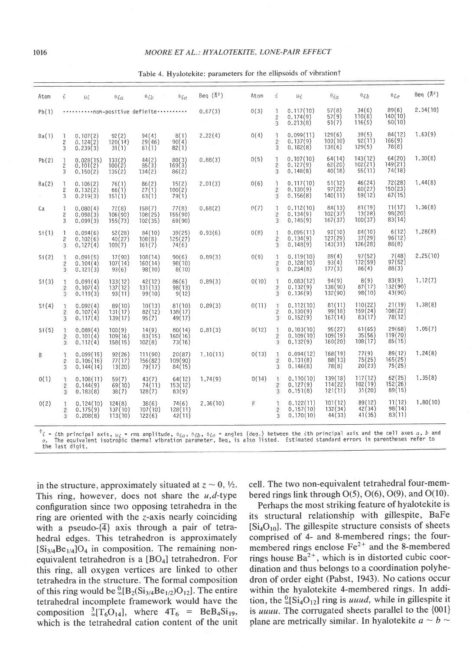## l0l6 MOORE ET AL.: HYALOTEKITE, LONE-PAIR EFFECT

| Beq $(\lambda^2)$<br>菌<br>$\theta_{ic}$<br>Atom<br>$\theta_{\tilde{i}\tilde{b}}$<br>$\theta_{LZ}$<br>$\theta_{ic}$<br>$\mu_{\mathcal{L}}$<br>Atom<br>$\vec{\iota}$<br>$\theta_{\tilde{\chi}b}$<br>$\theta i\alpha$<br>$\mu_L$<br>57(8)<br>34(6)<br>89(6)<br>0(3)<br>$\frac{1}{2}$<br>0.117(10)<br>0.67(3)<br>Pb(1)<br>non-positive definite<br>110(8)<br>140(10)<br>$\binom{57}{51}$<br>$0.174(9)$<br>0.213(8)<br>$\frac{2}{3}$<br>116(5)<br>50(10)<br>84(12)<br>39(5)<br>$\overline{1}$<br>0(4)<br>0.099(11)<br>2.22(4)<br>8(1)<br>Ba(1) | Beq $(\lambda^2)$<br>2,34(10)<br>1.63(9) |
|-------------------------------------------------------------------------------------------------------------------------------------------------------------------------------------------------------------------------------------------------------------------------------------------------------------------------------------------------------------------------------------------------------------------------------------------------------------------------------------------------------------------------------------------|------------------------------------------|
|                                                                                                                                                                                                                                                                                                                                                                                                                                                                                                                                           |                                          |
|                                                                                                                                                                                                                                                                                                                                                                                                                                                                                                                                           |                                          |
| 129(6)<br>103(10)<br>$\frac{94(4)}{29(46)}$<br>$0.107(2)$<br>$0.124(2)$<br>$\frac{92(2)}{120(14)}$<br><sup>1</sup><br>92(11)<br>$\frac{166(9)}{78(8)}$<br>$0.137(9)$<br>0.182(8)<br>$\overline{2}$<br>$\overline{c}$<br>90(4)<br>138(6)<br>129(5)<br>$\overline{3}$<br>61(1)<br>82(1)<br>3<br>0.239(3)<br>31(1)                                                                                                                                                                                                                           |                                          |
| 143(12)<br>$64(20)$<br>149(21)<br>$\mathbb{I}$<br>64(14)<br>62(20)<br>$0.107(10)$<br>0.127(9)<br>0(5)<br>$\begin{array}{c} 44 \{2 \\ 85 \end{array}$<br>0.88(3)<br>$0.028(15)$<br>$0.101(2)$<br>$\begin{array}{c} 80(3) \\ 169(3) \end{array}$<br>Pb(2)<br>$\begin{array}{c} 133(2) \\ 100(2) \end{array}$<br>$\frac{1}{2}$<br>102(21)<br>$\overline{c}$<br>40(18)<br>74(18)<br>0.148(8)<br>55(11)<br>$\overline{3}$<br>3<br>0.150(2)<br>135(2)<br>134(2)<br>86(2)                                                                        | 1,30(8)                                  |
| 46(24)<br>72(28)<br>$\mathbf{1}$<br>51(12)<br>97(22)<br>0(6)<br>0.117(10)<br>Ba(2)<br>$\frac{86(2)}{27(1)}$<br>2.01(3)<br>0.106(2)<br>76(1)<br>15(2)<br>1<br>60(27)<br>150(23)<br>$\overline{\mathbf{2}}$<br>0.130(9)<br>0.132(2)<br>66(1)<br>$\overline{c}$<br>100(2)<br>151(1)<br>0.156(8)<br>140(11)<br>59(12)<br>67(15)<br>63(1)<br>79(1)<br>$\overline{3}$<br>0.219(3)<br>3                                                                                                                                                          | 1.44(8)                                  |
| 81(19)<br>11(17)<br>0(7)<br>1<br>84(13)<br>0.112(10)<br>77(8)<br>0.68(2)<br>$0.080(4)$<br>$0.098(3)$<br>72(8)<br>158(7)<br>Ca<br>п.<br>98(20)<br>13(28)<br>102(37)<br>0.134(9)<br>106(90)<br>108(25)<br>$\sqrt{2}$<br>2<br>155(90)<br>167(37)<br>83(14)<br>$\overline{3}$<br>100(37)<br>0.145(9)<br>0,099(3)<br>102(35)<br>3<br>155(73)<br>69(90)                                                                                                                                                                                         | 1.36(8)                                  |
| 84(10)<br>92(10)<br>6(12)<br>1<br>0.095(11)<br>0(8)<br>Si(1)<br>$0.094(6)$<br>0.102(6)<br>0.127(4)<br>52(28)<br>40(27)<br>100(7)<br>84(10)<br>$39(25)$<br>125 $(27)$<br>0.93(6)<br>-1<br>127(29)<br>37(29)<br>96(12)<br>$\frac{108(8)}{161(7)}$<br>$\frac{2}{3}$<br>$0.134(9)$<br>$0.148(9)$<br>$\overline{c}$<br>143(31)<br>126(28)<br>88(8)<br>74(6)<br>3                                                                                                                                                                               | 1.28(8)                                  |
| $97(52)$<br>172(59)<br>7(48)<br>0(9)<br>89(4)<br>0.89(3)<br>$\mathcal{L}$<br>0.119(10)<br>Si(2)<br>90(6)<br>0.091(5)<br>$17(90)$<br>$107(14)$<br>108(14)<br>1<br>93(4)<br>97(52)<br>0.128(10)<br>$\overline{c}$<br>0.104(4)<br>160(14)<br>98(10)<br>86(4)<br>88(3)<br>$\overline{3}$<br>177(3)<br>0.234(8)<br>$\overline{3}$<br>0.121(3)<br>93(6)<br>98(10)<br>8(10)                                                                                                                                                                      | 2,25(10)                                 |
| $\frac{8(9)}{87(17)}$<br>$\frac{94(9)}{138(90)}$<br>$\begin{array}{c} 83(9) \\ 132(90) \end{array}$<br>0(10)<br>$0.083(12)$<br>0.132(9)<br>0.136(9)<br>-1<br>Si(3)<br>$0.091(4)$<br>$0.107(4)$<br>42(12)<br>86(6)<br>0.89(3)<br>133(12)<br>137(12)<br>131(13)<br>98(13)<br>$rac{2}{3}$<br>$\frac{2}{3}$<br>132(90)<br>98(10)<br>43(90)<br>0, 119(3)<br>93(11)<br>99(10)<br>9(12)                                                                                                                                                          | 7.12(7)                                  |
| 81(11)<br>110(22)<br>21(19)<br>0(11)<br>$\mathbf{1}$<br>0.112(10)<br>Si(4)<br>0.092(4)<br>89(10)<br>10(13)<br>81(10)<br>0.89(3)<br>T<br>99(18)<br>159(24)<br>108(22)<br>82(12)<br>0.107(4)<br>131(17)<br>0.130(9)<br>$\overline{\mathbf{c}}$<br>$\frac{2}{3}$<br>138(17)<br>78(12)<br>167(14)<br>83(17)<br>0.152(9)<br>0.117(4)<br>3<br>95(7)<br>49(17)<br>139(17)                                                                                                                                                                        | 1.38(8)                                  |
| 61(65)<br>29(68)<br>0(12)<br>95(27)<br>0.81(3)<br>T.<br>0.103(10)<br>100(9)<br>$\frac{14(9)}{83(15)}$<br>Si(5)<br>0,089(4)<br>80(14)<br>Ŧ<br>35(56)<br>119(70)<br>0.109(10)<br>109(19)<br>$\overline{\mathbf{2}}$<br>$\overline{c}$<br>0.101(4)<br>109(16)<br>160(16)<br>$\overline{3}$<br>108(17)<br>85(15)<br>0,132(9)<br>160(20)<br>3<br>0.112(4)<br>158(15)<br>102(8)<br>73(16)                                                                                                                                                       | 1.05(7)                                  |
| 77(9)<br>89(12)<br>0(13)<br>$0.094(12)$<br>$0.131(8)$<br>168(19)<br>88(13)<br>78(8)<br>$\frac{92(26)}{77(17)}$<br>111(90)<br>20(87)<br>1.10(11)<br>я.<br>0.099(15)<br>B<br>T<br>165(25)<br>75(25)<br>$\overline{2}$<br>0.106(16)<br>$\frac{156(82)}{79(17)}$<br>109(90)<br>$\overline{c}$<br>20(23)<br>75(25)<br>0.146(8)<br>0, 144(14)<br>13(20)<br>3<br>84(15)<br>3                                                                                                                                                                     | 1.24(8)                                  |
| 62(25)<br>117(12)<br>0(14)<br>139(18)<br>$\mathbf{1}$<br>0.110(10)<br>1,74(9)<br>0(1)<br>0.108(11)<br>59(7)<br>43(7)<br>64(12)<br>Ŧ<br>152(26)<br>$\frac{114(22)}{121(11)}$<br>102(19)<br>74(11)<br>$\overline{c}$<br>0.127(9)<br>0.144(9)<br>69(10)<br>153(12)<br>$\overline{2}$<br>89(15)<br>31(20)<br>128(7)<br>$\overline{3}$<br>0.151(8)<br>$\overline{3}$<br>0.183(8)<br>38(7)<br>83(9)                                                                                                                                             | 1.35(8)                                  |
| F<br>11(12)<br>89(12)<br>2,36(10)<br>$\mathbb{1}$<br>0.122(11)<br>101(12)<br>0(2)<br>124(8)<br>38(6)<br>74(6)<br>0.124(10)<br>0.157(10)<br>132(34)<br>42(34)<br>98(14)<br>$\frac{2}{3}$<br>107(10)<br>128(11)<br>$\overline{c}$<br>0.175(9)<br>137(10)<br>0.170(10)<br>41(35)<br>83(11)<br>44(33)<br>$\overline{3}$<br>113(10)<br>42(11)<br>0,208(8)<br>122(6)                                                                                                                                                                            | 1.80(10)                                 |

Table 4. Hyalotekite: parameters for the ellipsoids of vibrationt

 $\tau^t_i = i$ th principal axis,  $\mu_i$  = rms amplitude, 0 $i_a$ , 0 $i_b$ , 0 $i_c$  = angles (deg.) between the  $i$ th principal axis and the cell axes  $a$ ,  $b$  and<br> $c$ . The equivalent isotropic thermal vibration parameter, Beq, is als the last digit.

in the structure, approximately situated at  $z \sim 0$ ,  $\frac{1}{2}$ . This ring, however, does not share the  $u, d$ -type configuration since two opposing tetrahedra in the ring are oriented with the z-axis nearly coinciding with a pseudo- $\{\overline{4}\}\$ axis through a pair of tetrahedral edges. This tetrahedron is approximately  $[Si_{3/4}Be_{1/4}]O_4$  in composition. The remaining nonequivalent tetrahedron is a  $[BO_4]$  tetrahedron. For this ring, all oxygen vertices are linked to other tetrahedra in the structure. The formal composition of this ring would be  ${}_{\infty}^{0}[B_{2}(Si_{3/4}Be_{1/2})O_{12}]$ . The entire tetrahedral incomplete framework would have the composition  ${}_{\infty}^{3}[T_{6}O_{14}]$ , where  $4T_{6}$  = BeB<sub>4</sub>Si<sub>19</sub>, which is the tetrahedral cation content of the unit cell. The two non-equivalent tetrahedral four-membered rings link through  $O(5)$ ,  $O(6)$ ,  $O(9)$ , and  $O(10)$ .

Perhaps the most striking feature of hyalotekite is its structural relationship with gillespite, BaFe  $[Si_4O_{10}]$ . The gillespite structure consists of sheets comprised of 4- and 8-membered rings; the fourmembered rings enclose  $Fe<sup>2+</sup>$  and the 8-membered rings house  $Ba^{2+}$ , which is in distorted cubic coordination and thus belongs to a coordination polyhedron of order eight (Pabst, 1943). No cations occur within the hyalotekite 4-membered rings. In addition, the  ${}^{0}_{\infty}$ [Si<sub>4</sub>O<sub>12</sub>] ring is *uuud*, while in gillespite it is uuuu. The corrugated sheets parallel to the  $\{001\}$ plane are metrically similar. In hyalotekite  $a \sim b \sim$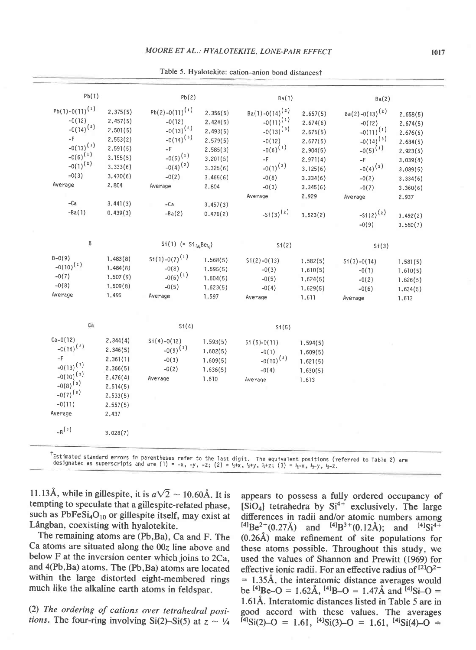| Pb(1)                                                                                                                                             |                                                                                                       | Pb(2)                                                                                                                               |                                                                                                       | Ba(1)                                                                                                                                          |                                                                                                                   | Ba(2)                                                                                                                                          |                                                                                                                   |
|---------------------------------------------------------------------------------------------------------------------------------------------------|-------------------------------------------------------------------------------------------------------|-------------------------------------------------------------------------------------------------------------------------------------|-------------------------------------------------------------------------------------------------------|------------------------------------------------------------------------------------------------------------------------------------------------|-------------------------------------------------------------------------------------------------------------------|------------------------------------------------------------------------------------------------------------------------------------------------|-------------------------------------------------------------------------------------------------------------------|
| $Pb(1)-0(11)^{(1)}$<br>$-0(12)$<br>$-0(14)^{(2)}$<br>$-F$<br>$-0(13)^{(3)}$<br>$-0(6)^{(1)}$<br>$-0(1)^{(2)}$<br>$-0(3)$<br>Average               | 2.375(5)<br>2.457(5)<br>2.501(5)<br>2.553(2)<br>2.591(5)<br>3.155(5)<br>3,333(6)<br>3.470(6)<br>2,804 | $Pb(2)-O(11)^{(1)}$<br>$-0(12)$<br>$-0(13)^{(2)}$<br>$-0(14)^{(3)}$<br>$-F$<br>$-0(5)^{(1)}$<br>$-0(4)^{(2)}$<br>$-0(2)$<br>Average | 2.356(5)<br>2.424(5)<br>2,493(5)<br>2.579(5)<br>2.585(3)<br>3.201(5)<br>3.325(6)<br>3.465(6)<br>2,804 | $Ba(1)-O(14)^{(2)}$<br>$-0(11)^{(1)}$<br>$-0(13)^{(3)}$<br>$-0(12)$<br>$-0(6)^{(1)}$<br>$-F$<br>$-0(1)^{(2)}$<br>$-0(8)$<br>$-0(3)$<br>Average | 2.657(5)<br>2,674(6)<br>2.675(5)<br>2.677(5)<br>2.904(5)<br>2.971(4)<br>3.125(6)<br>3.334(6)<br>3,345(6)<br>2,929 | $Ba(2)-O(13)^{(2)}$<br>$-0(12)$<br>$-0(11)^{(1)}$<br>$-0(14)^{(3)}$<br>$-0(5)^{(1)}$<br>$-F$<br>$-0(4)^{(2)}$<br>$-0(2)$<br>$-0(7)$<br>Average | 2.658(5)<br>2.674(5)<br>2.676(6)<br>2.684(5)<br>2.923(5)<br>3.039(4)<br>3,089(5)<br>3.334(6)<br>3.360(6)<br>2,937 |
| $-Ca$<br>$-Ba(1)$                                                                                                                                 | 3.441(3)<br>0.439(3)                                                                                  | $-Ca$<br>$-Ba(2)$                                                                                                                   | 3.457(3)<br>0.476(2)                                                                                  | $-Si(3)^{(2)}$                                                                                                                                 | 3.523(2)                                                                                                          | $-Si(2)^{(2)}$<br>$-0(9)$                                                                                                                      | 3,492(2)<br>3.580(7)                                                                                              |
| B                                                                                                                                                 |                                                                                                       | $Si(1)$ (= $Si_{34}Be_{34}$ )                                                                                                       |                                                                                                       | Si(2)                                                                                                                                          |                                                                                                                   | Si(3)                                                                                                                                          |                                                                                                                   |
| $B - O(9)$<br>$-0(10)^{(1)}$<br>$-0(7)$<br>$-0(8)$<br>Average                                                                                     | 1,483(8)<br>1.484(8)<br>1.507(9)<br>1.509(8)<br>1.496                                                 | $Si(1) - O(7)^{(1)}$<br>$-0(8)$<br>$-0(6)^{(1)}$<br>$-0(5)$<br>Average                                                              | 1.568(5)<br>1.595(5)<br>1.604(5)<br>1.623(5)<br>1.597                                                 | $Si(2)-O(13)$<br>$-0(3)$<br>$-0(5)$<br>$-0(4)$<br>Average                                                                                      | 7.582(5)<br>1.610(5)<br>1.624(5)<br>1.629(5)<br>1,611                                                             | $Si(3)-O(14)$<br>$-0(1)$<br>$-0(2)$<br>$-0(6)$<br>Average                                                                                      | 1,581(5)<br>1.610(5)<br>1.626(5)<br>1.634(5)<br>1.613                                                             |
| Ca                                                                                                                                                |                                                                                                       | Si(4)                                                                                                                               |                                                                                                       | Si(5)                                                                                                                                          |                                                                                                                   |                                                                                                                                                |                                                                                                                   |
| $Ca - O(12)$<br>$-0(14)^{(3)}$<br>$-F$<br>$-0(13)^{(3)}$<br>$-0(10)^{(3)}$<br>$-0(8)^{(3)}$<br>$-0(7)^{(3)}$<br>$-0(11)$<br>Average<br>$-B^{(s)}$ | 2,344(4)<br>2.346(5)<br>2.361(1)<br>2.366(5)<br>2.476(4)<br>2,514(5)<br>2.533(5)<br>2.557(5)<br>2,437 | $Si(4)-O(12)$<br>$-0(9)^{(3)}$<br>$-0(3)$<br>$-0(2)$<br>Average                                                                     | 1,593(5)<br>1.602(5)<br>1.609(5)<br>7.636(5)<br>1,610                                                 | $Si(5)-O(11)$<br>$-0(1)$<br>$-0(10)^{(3)}$<br>$-0(4)$<br>Average                                                                               | 1.594(5)<br>1,609(5)<br>1.621(5)<br>1.630(5)<br>1,613                                                             |                                                                                                                                                |                                                                                                                   |
|                                                                                                                                                   | 3.028(7)                                                                                              |                                                                                                                                     |                                                                                                       |                                                                                                                                                |                                                                                                                   |                                                                                                                                                |                                                                                                                   |

Table 5. Hyalotekite: cation-anion bond distancest

tstimated standard errors in parentheses refer to the last digit. The equivalent positions (referred to Table 2) are<br>designated as superscripts and are (1) = -x, -y, -z; (2) = ½+x, ½+y, ½+z; (3) = ½-x, ½-v, ½-z. designated as superscripts and are (1) = -x, -y, -z; (2) =  $\frac{1}{2}x$ ,  $\frac{1}{2}y$ ,  $\frac{1}{2}+z$ ; (3) =  $\frac{1}{2}-x$ ,  $\frac{1}{2}-y$ ,  $\frac{1}{2}-z$ .

11.13Å, while in gillespite, it is  $a\sqrt{2} \sim 10.60\text{\AA}$ . It is tempting to speculate that a gillespite-related phase, such as  $PbFeSi<sub>4</sub>O<sub>10</sub>$  or gillespite itself, may exist at Långban, coexisting with hyalotekite.

The remaining atoms are (Pb,Ba), Ca and F. The Ca atoms are situated along the  $00z$  line above and below F at the inversion center which joins to 2Ca, and 4(Pb,Ba) atoms. The (Pb,Ba) atoms are located within the large distorted eight-membered rings much like the alkaline earth atoms in feldspar.

(2) The ordering of cations over tetrahedral posi*tions*. The four-ring involving Si(2)–Si(5) at  $z \sim V_4$  appears to possess a fully ordered occupancy of  $[SiO<sub>4</sub>]$  tetrahedra by  $Si<sup>4+</sup>$  exclusively. The large differences in radii and/or atomic numbers among  $^{[4]}Be^{2+}(0.27\text{\AA})$  and  $^{[4]}B^{3+}(0.12\text{\AA})$ ; and  $^{[4]}Si^{4+}$  $(0.26\text{\AA})$  make refinement of site populations for these atoms possible. Throughout this study, we used the values of Shannon and Prewitt (1969) for effective ionic radii. For an effective radius of  $[2]Q^2$  $= 1.35$ Å, the interatomic distance averages would be <sup>[4]</sup>Be-O = 1.62Å, <sup>[4]</sup>B-O = 1.47Å and <sup>[4]</sup>Si-O = 1.61A. Interatomic distances listed in Table 5 are in good accord with these values. The averages  $\frac{41}{3}$ Si(2)-O = 1.61,  $\frac{41}{3}$ Si(3)-O = 1.61,  $\frac{41}{3}$ Si(4)-O =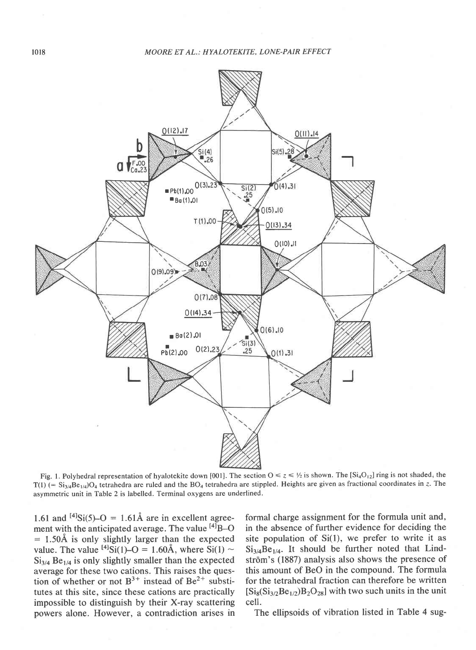

Fig. 1. Polyhedral representation of hyalotekite down [001]. The section  $0 \le z \le \frac{1}{2}$  is shown. The [Si<sub>4</sub>O<sub>12</sub>] ring is not shaded; the  $T(1)$  (= Si<sub>3/4</sub>Be<sub>1/4</sub>)O<sub>4</sub> tetrahedra are ruled and the BO<sub>4</sub> tetrahedra are stippled. Heights are given as fractional coordinates in z. The asymmetric unit in Table 2 is labelled. Terminal oxygens are underlined.

1.61 and  $^{[4]}Si(5)-O = 1.61\text{\AA}$  are in excellent agreement with the anticipated average. The value  $^{[4]}$ B-O  $= 1.50$ Å is only slightly larger than the expected value. The value  $^{[4]}Si(1)-O = 1.60\text{\AA}$ , where  $Si(1) \sim$  $Si<sub>3/4</sub> Be<sub>1/4</sub>$  is only slightly smaller than the expected average for these two cations. This raises the question of whether or not  $B^{3+}$  instead of  $Be^{2+}$  substitutes at this site, since these cations are practically impossible to distinguish by their X-ray scattering powers alone. However, a contradiction arises in

formal charge assignment for the formula unit and, in the absence of further evidence for deciding the site population of  $Si(1)$ , we prefer to write it as  $Si_{3/4}Be_{1/4}$ . It should be further noted that Lindström's (1887) analysis also shows the presence of this amount of BeO in the compound. The formula for the tetrahedral fraction can therefore be written  $[Si_8(Si_{3/2}Be_{1/2})B_2O_{28}]$  with two such units in the unit cell.

The ellipsoids of vibration listed in Table 4 sug-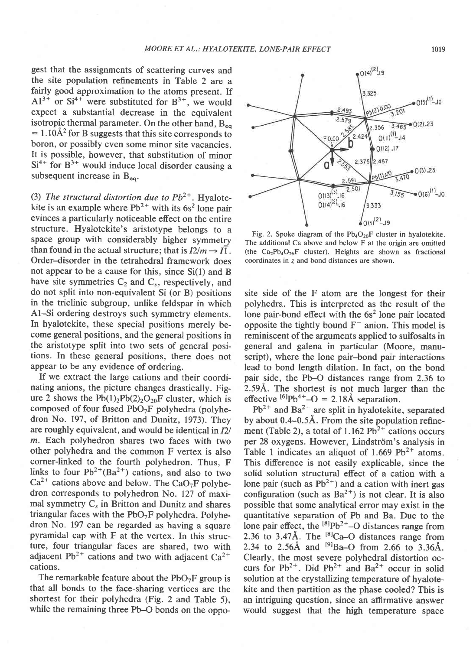gest that the assignments of scattering curves and the site population refinements in Table 2 are a fairly good approximation to the atoms present. If  $A1^{3+}$  or Si<sup>4+</sup> were substituted for B<sup>3+</sup>, we would expect a substantial decrease in the equivalent isotropic thermal parameter. On the other hand,  $B_{eq}$  $= 1.10 \text{\AA}^2$  for B suggests that this site corresponds to boron, or possibly even some minor site vacancies. It is possible, however, that substitution of minor  $Si<sup>4+</sup>$  for  $B<sup>3+</sup>$  would induce local disorder causing a subsequent increase in  $B_{eq}$ .

(3) The structural distortion due to  $Pb^{2+}$ . Hyalotekite is an example where  $Pb^{2+}$  with its 6s<sup>2</sup> lone pair evinces a particularly noticeable effect on the entire structure. Hyalotekite's aristotype belongs to a space group with considerably higher symmetry than found in the actual structure; that is  $I2/m \rightarrow I\overline{1}$ . Order-disorder in the tetrahedral framework does not appear to be a cause for this, since Si(l) and B have site symmetries  $C_2$  and  $C_s$ , respectively, and do not split into non-equivalent Si (or B) positions in the triclinic subgroup, unlike feldspar in which Al-Si ordering destroys such symmetry elements. In hyalotekite, these special positions merely become general positions, and the general positions in the aristotype split into two sets of general positions. In these general positions, there does not appear to be any evidence of ordering.

lf we extract the large cations and their coordinating anions, the picture changes drastically. Figure 2 shows the  $Pb(1)_2Pb(2)_2O_{20}F$  cluster, which is composed of four fused  $PbO<sub>7</sub>F$  polyhedra (polyhedron No. 197, of Britton and Dunitz, 1973). They are roughly equivalent, and would be identical in  $I2$ m. Each polyhedron shares two faces with two other polyhedra and the common F vertex is also corner-linked to the fourth polyhedron. Thus, F links to four  $Pb^{2+}(Ba^{2+})$  cations, and also to two  $Ca^{2+}$  cations above and below. The  $CaO<sub>7</sub>F$  polyhedron corresponds to polyhedron No. 127 of maximal symmetry  $C_s$  in Britton and Dunitz and shares triangular faces with the  $PbO<sub>2</sub>F$  polyhedra. Polyhedron No. 197 can be regarded as having a square pyramidal cap with F at the vertex. In this structure, four triangular faces are shared, two with adjacent Pb<sup>2+</sup> cations and two with adjacent  $Ca^{2+}$ cations.

The remarkable feature about the  $PbO<sub>7</sub>F$  group is that all bonds to the face-sharing vertices are the shortest for their polyhedra (Fig. 2 and Table 5), while the remaining three Pb-O bonds on the oppo-



Fig. 2. Spoke diagram of the  $Pb_4O_{20}F$  cluster in hyalotekite. The additional Ca above and below F at the origin are omitted (the  $Ca_2Pb_4O_{26}F$  cluster). Heights are shown as fractional coordinates in z and bond distances are shown.

site side of the F atom are the longest for their polyhedra. This is interpreted as the result of the lone pair-bond effect with the  $6s<sup>2</sup>$  lone pair located opposite the tightly bound  $F^-$  anion. This model is reminiscent of the arguments applied to sulfosalts in general and galena in particular (Moore, manuscript), where the lone pair-bond pair interactions lead to bond length dilation. In fact, on the bond pair side, the Pb-O distances range from 2.36 to 2.594. The shortest is not much larger than the effective  $^{[6]}Pb^{4+}-O = 2.18\text{\AA}$  separation.

 $Pb^{2+}$  and Ba<sup>2+</sup> are split in hyalotekite, separated by about 0.4-0.54. From the site population refinement (Table 2), a total of  $1.162 \text{ Pb}^{2+}$  cations occurs per 28 oxygens. However, Lindström's analysis in Table 1 indicates an aliquot of 1.669  $Pb^{2+}$  atoms. This difference is not easily explicable, since the solid solution structural effect of a cation with a lone pair (such as  $Pb^{2+}$ ) and a cation with inert gas configuration (such as  $Ba^{2+}$ ) is not clear. It is also possible that some analytical error may exist in the quantitative separation of Pb and Ba. Due to the lone pair effect, the  $^{[8]}Pb^{2+}-O$  distances range from 2.36 to 3.47Å. The  $^{[8]}$ Ca-O distances range from 2.34 to 2.56Å and  $^{[9]}$ Ba-O from 2.66 to 3.36Å. Clearly, the most severe polyhedral distortion occurs for  $Pb^{2+}$ . Did  $Pb^{2+}$  and  $Ba^{2+}$  occur in solid solution at the crystallizing temperature of hyalotekite and then partition as the phase cooled? This is an intriguing question, since an affirmative answer would suggest that the high temperature space